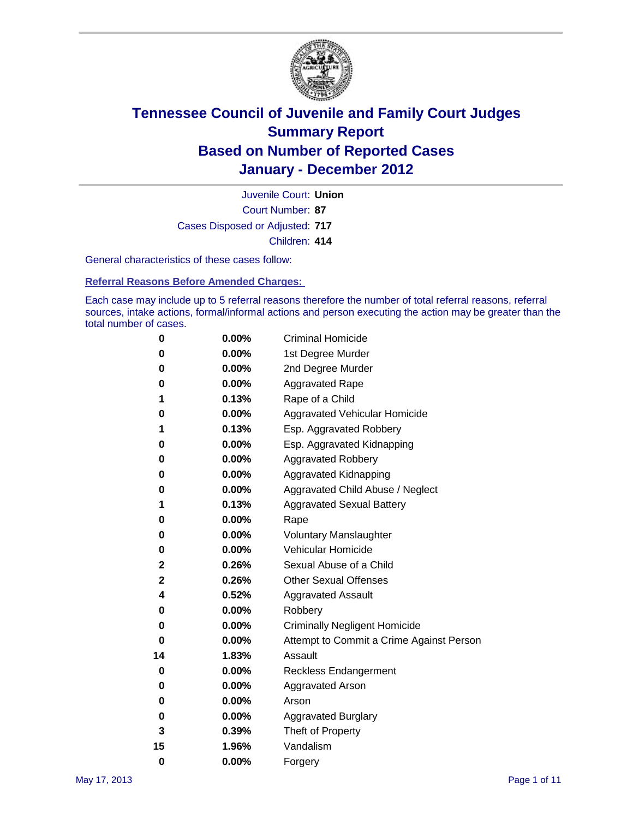

Court Number: **87** Juvenile Court: **Union** Cases Disposed or Adjusted: **717** Children: **414**

General characteristics of these cases follow:

**Referral Reasons Before Amended Charges:** 

Each case may include up to 5 referral reasons therefore the number of total referral reasons, referral sources, intake actions, formal/informal actions and person executing the action may be greater than the total number of cases.

| 0  | 0.00% | <b>Criminal Homicide</b>                 |
|----|-------|------------------------------------------|
| 0  | 0.00% | 1st Degree Murder                        |
| 0  | 0.00% | 2nd Degree Murder                        |
| 0  | 0.00% | <b>Aggravated Rape</b>                   |
| 1  | 0.13% | Rape of a Child                          |
| 0  | 0.00% | Aggravated Vehicular Homicide            |
| 1  | 0.13% | Esp. Aggravated Robbery                  |
| 0  | 0.00% | Esp. Aggravated Kidnapping               |
| 0  | 0.00% | <b>Aggravated Robbery</b>                |
| 0  | 0.00% | Aggravated Kidnapping                    |
| 0  | 0.00% | Aggravated Child Abuse / Neglect         |
| 1  | 0.13% | <b>Aggravated Sexual Battery</b>         |
| 0  | 0.00% | Rape                                     |
| 0  | 0.00% | <b>Voluntary Manslaughter</b>            |
| 0  | 0.00% | Vehicular Homicide                       |
| 2  | 0.26% | Sexual Abuse of a Child                  |
| 2  | 0.26% | <b>Other Sexual Offenses</b>             |
| 4  | 0.52% | <b>Aggravated Assault</b>                |
| 0  | 0.00% | Robbery                                  |
| 0  | 0.00% | <b>Criminally Negligent Homicide</b>     |
| 0  | 0.00% | Attempt to Commit a Crime Against Person |
| 14 | 1.83% | Assault                                  |
| 0  | 0.00% | <b>Reckless Endangerment</b>             |
| 0  | 0.00% | <b>Aggravated Arson</b>                  |
| 0  | 0.00% | Arson                                    |
| 0  | 0.00% | <b>Aggravated Burglary</b>               |
| 3  | 0.39% | Theft of Property                        |
| 15 | 1.96% | Vandalism                                |
| 0  | 0.00% | Forgery                                  |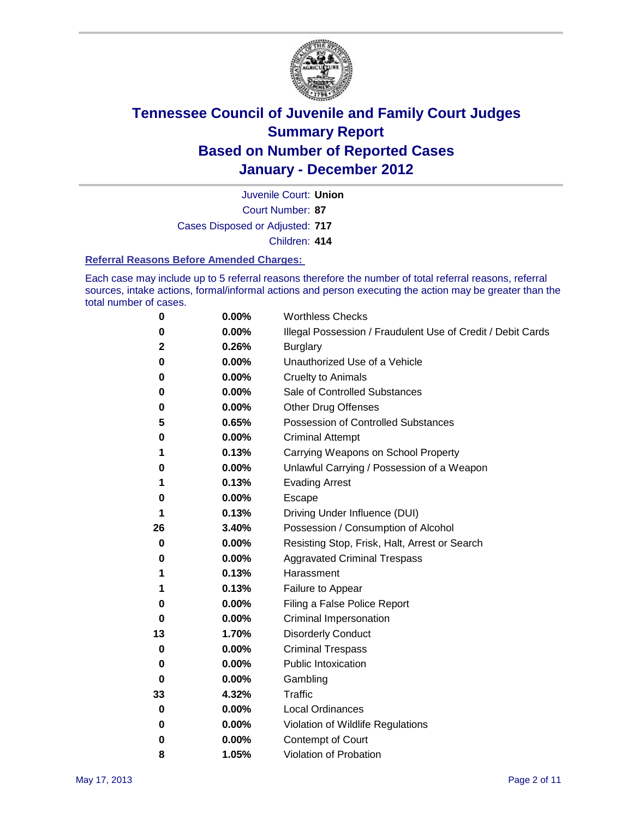

Court Number: **87** Juvenile Court: **Union** Cases Disposed or Adjusted: **717** Children: **414**

#### **Referral Reasons Before Amended Charges:**

Each case may include up to 5 referral reasons therefore the number of total referral reasons, referral sources, intake actions, formal/informal actions and person executing the action may be greater than the total number of cases.

| 0            | 0.00%    | <b>Worthless Checks</b>                                     |
|--------------|----------|-------------------------------------------------------------|
| 0            | 0.00%    | Illegal Possession / Fraudulent Use of Credit / Debit Cards |
| $\mathbf{2}$ | 0.26%    | <b>Burglary</b>                                             |
| 0            | 0.00%    | Unauthorized Use of a Vehicle                               |
| 0            | $0.00\%$ | <b>Cruelty to Animals</b>                                   |
| 0            | 0.00%    | Sale of Controlled Substances                               |
| 0            | $0.00\%$ | <b>Other Drug Offenses</b>                                  |
| 5            | 0.65%    | <b>Possession of Controlled Substances</b>                  |
| 0            | 0.00%    | <b>Criminal Attempt</b>                                     |
| 1            | 0.13%    | Carrying Weapons on School Property                         |
| 0            | 0.00%    | Unlawful Carrying / Possession of a Weapon                  |
| 1            | 0.13%    | <b>Evading Arrest</b>                                       |
| 0            | $0.00\%$ | Escape                                                      |
| 1            | 0.13%    | Driving Under Influence (DUI)                               |
| 26           | 3.40%    | Possession / Consumption of Alcohol                         |
| 0            | 0.00%    | Resisting Stop, Frisk, Halt, Arrest or Search               |
| 0            | $0.00\%$ | <b>Aggravated Criminal Trespass</b>                         |
| 1            | 0.13%    | Harassment                                                  |
| 1            | 0.13%    | Failure to Appear                                           |
| 0            | 0.00%    | Filing a False Police Report                                |
| 0            | 0.00%    | Criminal Impersonation                                      |
| 13           | 1.70%    | <b>Disorderly Conduct</b>                                   |
| 0            | 0.00%    | <b>Criminal Trespass</b>                                    |
| 0            | $0.00\%$ | <b>Public Intoxication</b>                                  |
| 0            | $0.00\%$ | Gambling                                                    |
| 33           | 4.32%    | Traffic                                                     |
| 0            | $0.00\%$ | <b>Local Ordinances</b>                                     |
| 0            | 0.00%    | Violation of Wildlife Regulations                           |
| 0            | $0.00\%$ | Contempt of Court                                           |
| 8            | 1.05%    | Violation of Probation                                      |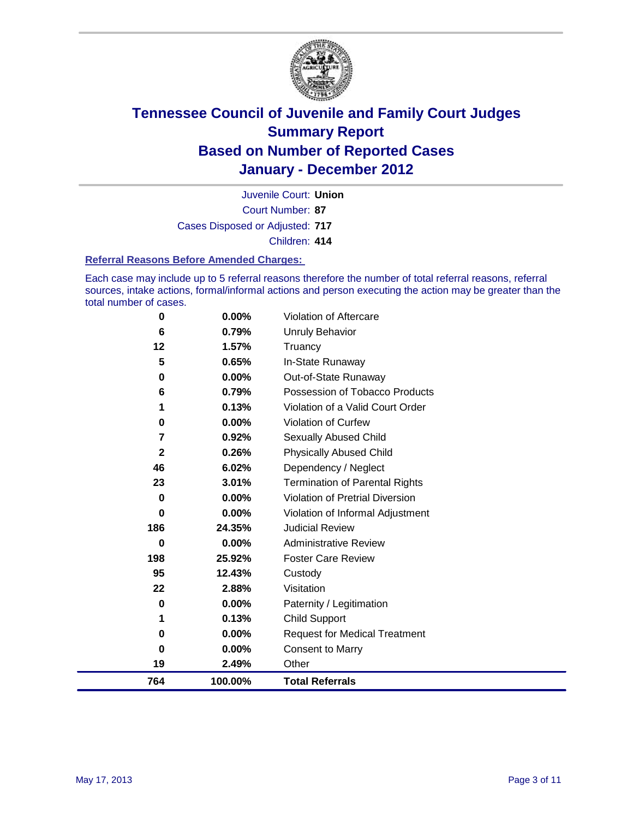

Court Number: **87** Juvenile Court: **Union** Cases Disposed or Adjusted: **717** Children: **414**

#### **Referral Reasons Before Amended Charges:**

Each case may include up to 5 referral reasons therefore the number of total referral reasons, referral sources, intake actions, formal/informal actions and person executing the action may be greater than the total number of cases.

| 764          | 100.00%        | <b>Total Referrals</b>                 |
|--------------|----------------|----------------------------------------|
| 19           | 2.49%          | Other                                  |
| 0            | 0.00%          | <b>Consent to Marry</b>                |
| 0            | 0.00%          | <b>Request for Medical Treatment</b>   |
| 1            | 0.13%          | <b>Child Support</b>                   |
| 0            | 0.00%          | Paternity / Legitimation               |
| 22           | 2.88%          | Visitation                             |
| 95           | 12.43%         | Custody                                |
| 198          | 25.92%         | <b>Foster Care Review</b>              |
| 0            | 0.00%          | <b>Administrative Review</b>           |
| 186          | 24.35%         | <b>Judicial Review</b>                 |
| 0            | 0.00%          | Violation of Informal Adjustment       |
| $\bf{0}$     | 0.00%          | <b>Violation of Pretrial Diversion</b> |
| 23           | 3.01%          | <b>Termination of Parental Rights</b>  |
| 46           | 6.02%          | Dependency / Neglect                   |
| $\mathbf{2}$ | 0.26%          | <b>Physically Abused Child</b>         |
| 7            | 0.92%          | <b>Sexually Abused Child</b>           |
| 0            | 0.00%          | Violation of Curfew                    |
| 1            | 0.13%          | Violation of a Valid Court Order       |
| 6            | 0.79%          | Possession of Tobacco Products         |
| 0            | 0.00%          | Out-of-State Runaway                   |
| 5            | 0.65%          | In-State Runaway                       |
| 6<br>12      | 0.79%<br>1.57% | <b>Unruly Behavior</b><br>Truancy      |
|              |                |                                        |
| 0            | 0.00%          | Violation of Aftercare                 |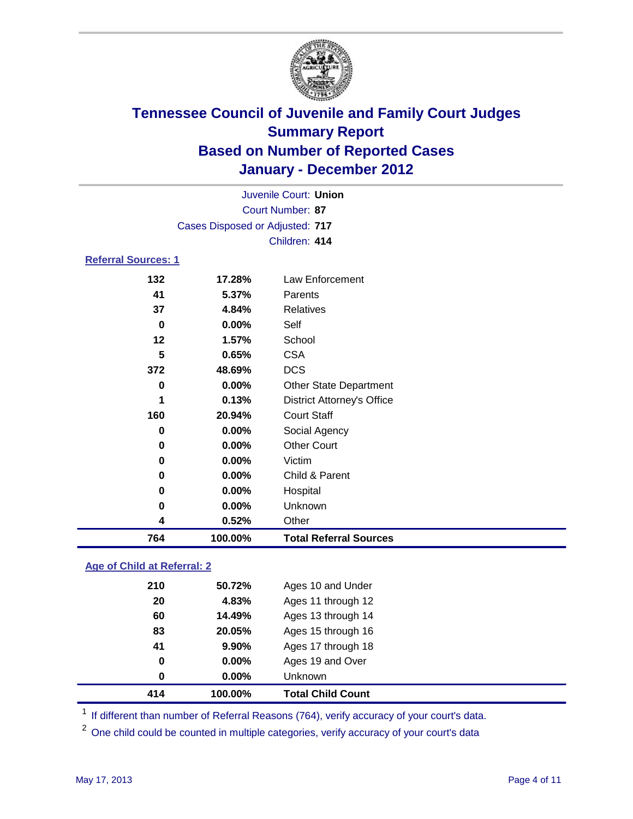

|                            | Juvenile Court: Union           |                                   |  |  |
|----------------------------|---------------------------------|-----------------------------------|--|--|
|                            | Court Number: 87                |                                   |  |  |
|                            | Cases Disposed or Adjusted: 717 |                                   |  |  |
|                            |                                 | Children: 414                     |  |  |
| <b>Referral Sources: 1</b> |                                 |                                   |  |  |
| 132                        | 17.28%                          | <b>Law Enforcement</b>            |  |  |
| 41                         | 5.37%                           | Parents                           |  |  |
| 37                         | 4.84%                           | <b>Relatives</b>                  |  |  |
| $\bf{0}$                   | 0.00%                           | Self                              |  |  |
| 12                         | 1.57%                           | School                            |  |  |
| 5                          | 0.65%                           | <b>CSA</b>                        |  |  |
| 372                        | 48.69%                          | <b>DCS</b>                        |  |  |
| 0                          | 0.00%                           | <b>Other State Department</b>     |  |  |
| 1                          | 0.13%                           | <b>District Attorney's Office</b> |  |  |
| 160                        | 20.94%                          | <b>Court Staff</b>                |  |  |
| 0                          | 0.00%                           | Social Agency                     |  |  |
| 0                          | 0.00%                           | <b>Other Court</b>                |  |  |
| 0                          | 0.00%                           | Victim                            |  |  |
| 0                          | 0.00%                           | Child & Parent                    |  |  |
| 0                          | 0.00%                           | Hospital                          |  |  |
| 0                          | 0.00%                           | Unknown                           |  |  |
| 4                          | 0.52%                           | Other                             |  |  |
| 764                        | 100.00%                         | <b>Total Referral Sources</b>     |  |  |
|                            |                                 |                                   |  |  |

### **Age of Child at Referral: 2**

| 414 | 100.00%  | <b>Total Child Count</b> |
|-----|----------|--------------------------|
| 0   | 0.00%    | <b>Unknown</b>           |
| 0   | $0.00\%$ | Ages 19 and Over         |
| 41  | 9.90%    | Ages 17 through 18       |
| 83  | 20.05%   | Ages 15 through 16       |
| 60  | 14.49%   | Ages 13 through 14       |
| 20  | 4.83%    | Ages 11 through 12       |
| 210 | 50.72%   | Ages 10 and Under        |
|     |          |                          |

<sup>1</sup> If different than number of Referral Reasons (764), verify accuracy of your court's data.

<sup>2</sup> One child could be counted in multiple categories, verify accuracy of your court's data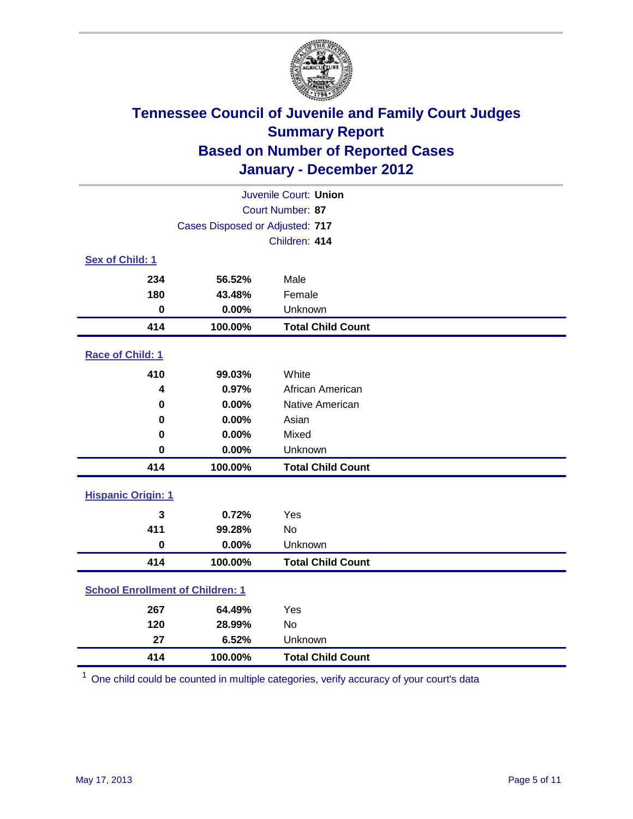

| Juvenile Court: Union                   |                                     |                          |  |  |
|-----------------------------------------|-------------------------------------|--------------------------|--|--|
| Court Number: 87                        |                                     |                          |  |  |
|                                         | Cases Disposed or Adjusted: 717     |                          |  |  |
|                                         |                                     | Children: 414            |  |  |
| Sex of Child: 1                         |                                     |                          |  |  |
| 234                                     | 56.52%                              | Male                     |  |  |
| 180                                     | 43.48%                              | Female                   |  |  |
| $\mathbf 0$                             | 0.00%                               | Unknown                  |  |  |
| 414                                     | 100.00%                             | <b>Total Child Count</b> |  |  |
| Race of Child: 1                        |                                     |                          |  |  |
| 410                                     | 99.03%                              | White                    |  |  |
| 4                                       | 0.97%                               | African American         |  |  |
| 0                                       | 0.00%                               | Native American          |  |  |
| $\mathbf 0$                             | 0.00%                               | Asian                    |  |  |
| 0                                       | 0.00%                               | Mixed                    |  |  |
| $\mathbf 0$                             | 0.00%                               | Unknown                  |  |  |
| 414                                     | 100.00%                             | <b>Total Child Count</b> |  |  |
| <b>Hispanic Origin: 1</b>               |                                     |                          |  |  |
| 3                                       | 0.72%                               | Yes                      |  |  |
| 411                                     | 99.28%                              | No                       |  |  |
| $\mathbf 0$                             | 0.00%                               | Unknown                  |  |  |
| 414                                     | 100.00%                             | <b>Total Child Count</b> |  |  |
| <b>School Enrollment of Children: 1</b> |                                     |                          |  |  |
| 267                                     | 64.49%                              | Yes                      |  |  |
| 120                                     | 28.99%                              | No                       |  |  |
| 27                                      | 6.52%                               | Unknown                  |  |  |
| 414                                     | 100.00%<br><b>Total Child Count</b> |                          |  |  |

One child could be counted in multiple categories, verify accuracy of your court's data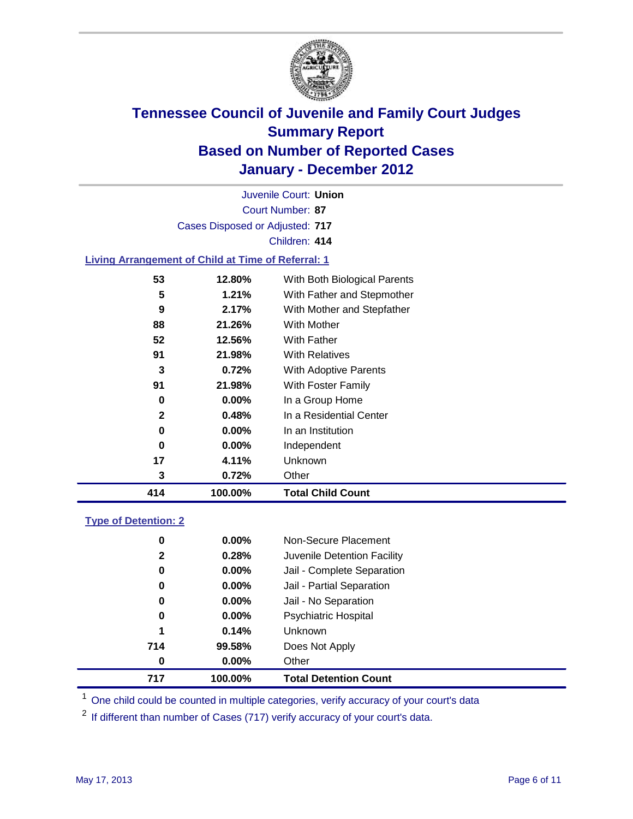

Court Number: **87** Juvenile Court: **Union** Cases Disposed or Adjusted: **717** Children: **414 Living Arrangement of Child at Time of Referral: 1 12.80%** With Both Biological Parents

| 414 | 100.00%  | <b>Total Child Count</b>   |
|-----|----------|----------------------------|
| 3   | 0.72%    | Other                      |
| 17  | 4.11%    | Unknown                    |
| 0   | $0.00\%$ | Independent                |
| 0   | $0.00\%$ | In an Institution          |
| 2   | 0.48%    | In a Residential Center    |
| 0   | $0.00\%$ | In a Group Home            |
| 91  | 21.98%   | <b>With Foster Family</b>  |
| 3   | 0.72%    | With Adoptive Parents      |
| 91  | 21.98%   | <b>With Relatives</b>      |
| 52  | 12.56%   | With Father                |
| 88  | 21.26%   | <b>With Mother</b>         |
| 9   | 2.17%    | With Mother and Stepfather |
| 5   | 1.21%    | With Father and Stepmother |

### **Type of Detention: 2**

| 717 | 100.00%               |                      | <b>Total Detention Count</b> |
|-----|-----------------------|----------------------|------------------------------|
|     | 0.00%<br>$\bf{0}$     | Other                |                              |
| 714 | 99.58%                | Does Not Apply       |                              |
|     | 0.14%<br>1            | Unknown              |                              |
|     | $0.00\%$<br>0         | Psychiatric Hospital |                              |
|     | 0.00%<br>0            | Jail - No Separation |                              |
|     | 0<br>$0.00\%$         |                      | Jail - Partial Separation    |
|     | $0.00\%$<br>0         |                      | Jail - Complete Separation   |
|     | 0.28%<br>$\mathbf{2}$ |                      | Juvenile Detention Facility  |
|     | $0.00\%$<br>0         |                      | Non-Secure Placement         |
|     |                       |                      |                              |

<sup>1</sup> One child could be counted in multiple categories, verify accuracy of your court's data

<sup>2</sup> If different than number of Cases (717) verify accuracy of your court's data.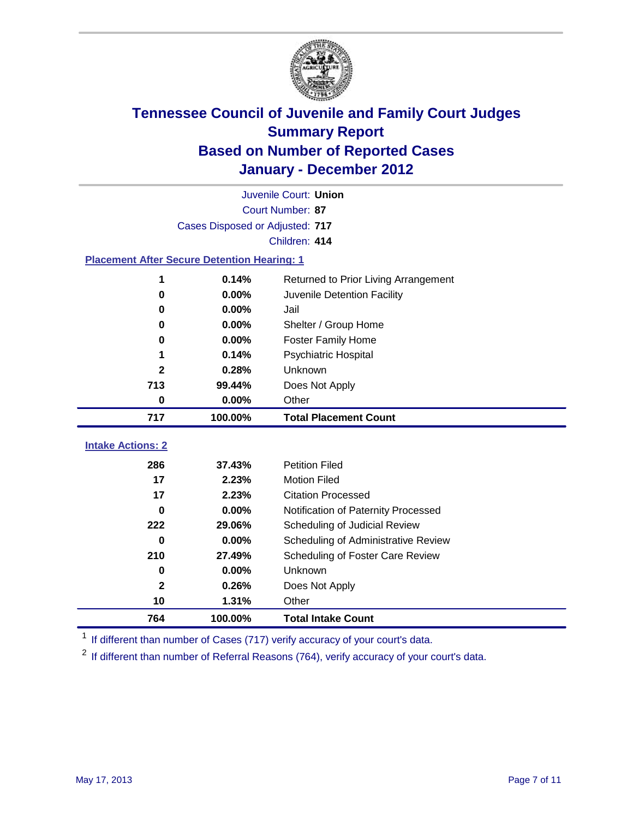

| Juvenile Court: Union                              |                                               |                                     |  |  |
|----------------------------------------------------|-----------------------------------------------|-------------------------------------|--|--|
|                                                    | Court Number: 87                              |                                     |  |  |
|                                                    | Cases Disposed or Adjusted: 717               |                                     |  |  |
|                                                    |                                               | Children: 414                       |  |  |
| <b>Placement After Secure Detention Hearing: 1</b> |                                               |                                     |  |  |
| 1                                                  | 0.14%<br>Returned to Prior Living Arrangement |                                     |  |  |
| 0                                                  | 0.00%                                         | Juvenile Detention Facility         |  |  |
| 0                                                  | 0.00%                                         | Jail                                |  |  |
| 0                                                  | 0.00%                                         | Shelter / Group Home                |  |  |
| 0                                                  | 0.00%                                         | <b>Foster Family Home</b>           |  |  |
| 1                                                  | 0.14%                                         | Psychiatric Hospital                |  |  |
| $\mathbf{2}$                                       | 0.28%                                         | Unknown                             |  |  |
| 713                                                | 99.44%                                        | Does Not Apply                      |  |  |
| $\mathbf 0$                                        | 0.00%                                         | Other                               |  |  |
| 717                                                | 100.00%                                       | <b>Total Placement Count</b>        |  |  |
|                                                    |                                               |                                     |  |  |
| <b>Intake Actions: 2</b>                           |                                               |                                     |  |  |
| 286                                                | 37.43%                                        | <b>Petition Filed</b>               |  |  |
| 17                                                 | 2.23%                                         | <b>Motion Filed</b>                 |  |  |
| 17                                                 | 2.23%                                         | <b>Citation Processed</b>           |  |  |
| $\bf{0}$                                           | 0.00%                                         | Notification of Paternity Processed |  |  |
| 222                                                | 29.06%                                        | Scheduling of Judicial Review       |  |  |
| $\bf{0}$                                           | 0.00%                                         | Scheduling of Administrative Review |  |  |
| 210                                                | 27.49%                                        | Scheduling of Foster Care Review    |  |  |
| 0                                                  | 0.00%                                         | Unknown                             |  |  |
| 2                                                  | 0.26%                                         | Does Not Apply                      |  |  |
| 10                                                 | 1.31%                                         | Other                               |  |  |
| 764                                                | 100.00%                                       | <b>Total Intake Count</b>           |  |  |

<sup>1</sup> If different than number of Cases (717) verify accuracy of your court's data.

<sup>2</sup> If different than number of Referral Reasons (764), verify accuracy of your court's data.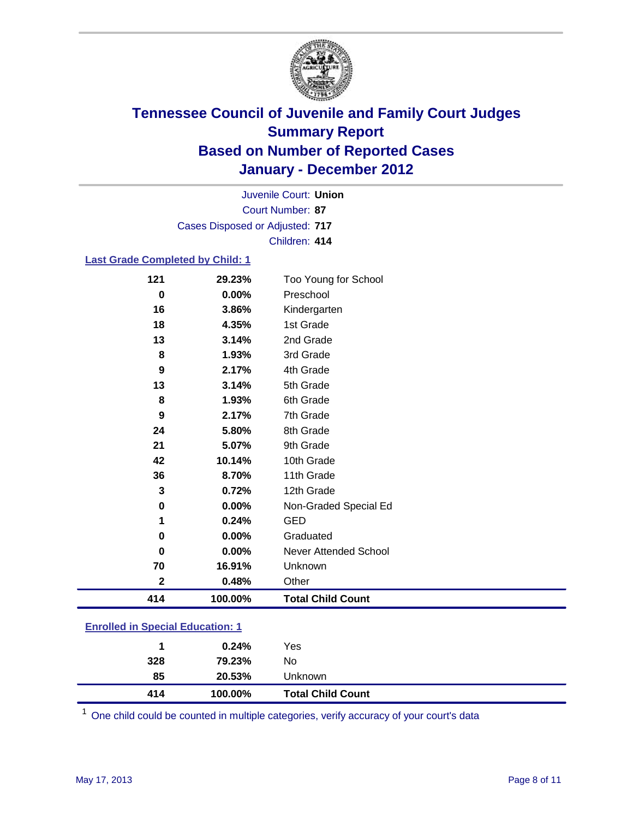

Court Number: **87** Juvenile Court: **Union** Cases Disposed or Adjusted: **717** Children: **414**

#### **Last Grade Completed by Child: 1**

| 121                                     | 29.23%  | Too Young for School         |  |
|-----------------------------------------|---------|------------------------------|--|
| 0                                       | 0.00%   | Preschool                    |  |
| 16                                      | 3.86%   | Kindergarten                 |  |
| 18                                      | 4.35%   | 1st Grade                    |  |
| 13                                      | 3.14%   | 2nd Grade                    |  |
| 8                                       | 1.93%   | 3rd Grade                    |  |
| 9                                       | 2.17%   | 4th Grade                    |  |
| 13                                      | 3.14%   | 5th Grade                    |  |
| 8                                       | 1.93%   | 6th Grade                    |  |
| 9                                       | 2.17%   | 7th Grade                    |  |
| 24                                      | 5.80%   | 8th Grade                    |  |
| 21                                      | 5.07%   | 9th Grade                    |  |
| 42                                      | 10.14%  | 10th Grade                   |  |
| 36                                      | 8.70%   | 11th Grade                   |  |
| 3                                       | 0.72%   | 12th Grade                   |  |
| 0                                       | 0.00%   | Non-Graded Special Ed        |  |
| 1                                       | 0.24%   | <b>GED</b>                   |  |
| 0                                       | 0.00%   | Graduated                    |  |
| 0                                       | 0.00%   | <b>Never Attended School</b> |  |
| 70                                      | 16.91%  | Unknown                      |  |
| $\mathbf{2}$                            | 0.48%   | Other                        |  |
| 414                                     | 100.00% | <b>Total Child Count</b>     |  |
| <b>Enrolled in Special Education: 1</b> |         |                              |  |

| 414 | 100.00% | <b>Total Child Count</b> |  |
|-----|---------|--------------------------|--|
| 85  | 20.53%  | <b>Unknown</b>           |  |
| 328 | 79.23%  | No                       |  |
|     | 0.24%   | Yes                      |  |
|     |         |                          |  |

One child could be counted in multiple categories, verify accuracy of your court's data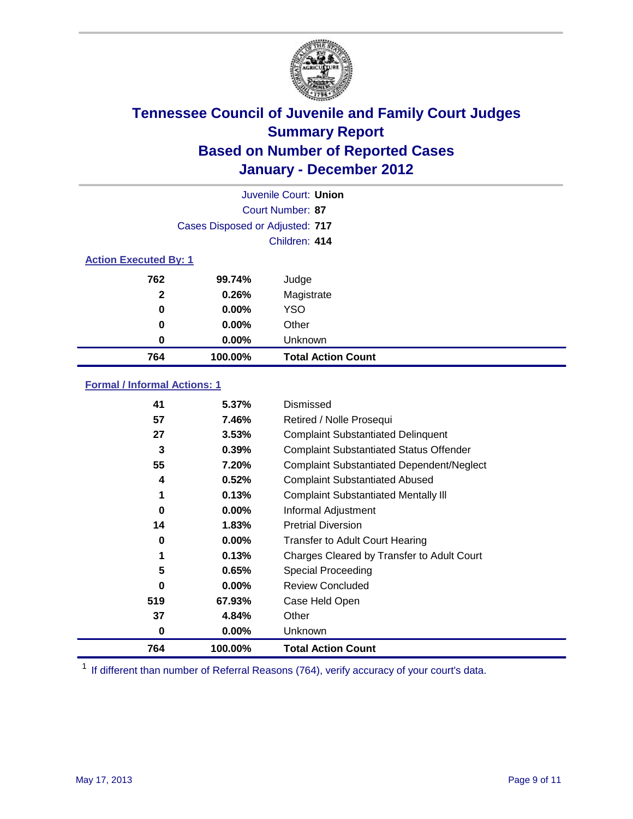

| Juvenile Court: Union        |                                 |                           |  |  |
|------------------------------|---------------------------------|---------------------------|--|--|
|                              | Court Number: 87                |                           |  |  |
|                              | Cases Disposed or Adjusted: 717 |                           |  |  |
|                              |                                 | Children: 414             |  |  |
| <b>Action Executed By: 1</b> |                                 |                           |  |  |
| 762                          | 99.74%                          | Judge                     |  |  |
| $\mathbf{2}$                 | 0.26%                           | Magistrate                |  |  |
| 0                            | $0.00\%$                        | <b>YSO</b>                |  |  |
| 0                            | $0.00\%$                        | Other                     |  |  |
| 0                            | $0.00\%$                        | Unknown                   |  |  |
| 764                          | 100.00%                         | <b>Total Action Count</b> |  |  |

### **Formal / Informal Actions: 1**

| 41       | 5.37%    | Dismissed                                        |
|----------|----------|--------------------------------------------------|
| 57       | 7.46%    | Retired / Nolle Prosequi                         |
| 27       | 3.53%    | <b>Complaint Substantiated Delinquent</b>        |
| 3        | 0.39%    | <b>Complaint Substantiated Status Offender</b>   |
| 55       | 7.20%    | <b>Complaint Substantiated Dependent/Neglect</b> |
| 4        | 0.52%    | <b>Complaint Substantiated Abused</b>            |
| 1        | 0.13%    | <b>Complaint Substantiated Mentally III</b>      |
| $\bf{0}$ | $0.00\%$ | Informal Adjustment                              |
| 14       | 1.83%    | <b>Pretrial Diversion</b>                        |
| 0        | $0.00\%$ | <b>Transfer to Adult Court Hearing</b>           |
| 1        | 0.13%    | Charges Cleared by Transfer to Adult Court       |
| 5        | 0.65%    | Special Proceeding                               |
| 0        | $0.00\%$ | <b>Review Concluded</b>                          |
| 519      | 67.93%   | Case Held Open                                   |
| 37       | 4.84%    | Other                                            |
| 0        | $0.00\%$ | <b>Unknown</b>                                   |
| 764      | 100.00%  | <b>Total Action Count</b>                        |

<sup>1</sup> If different than number of Referral Reasons (764), verify accuracy of your court's data.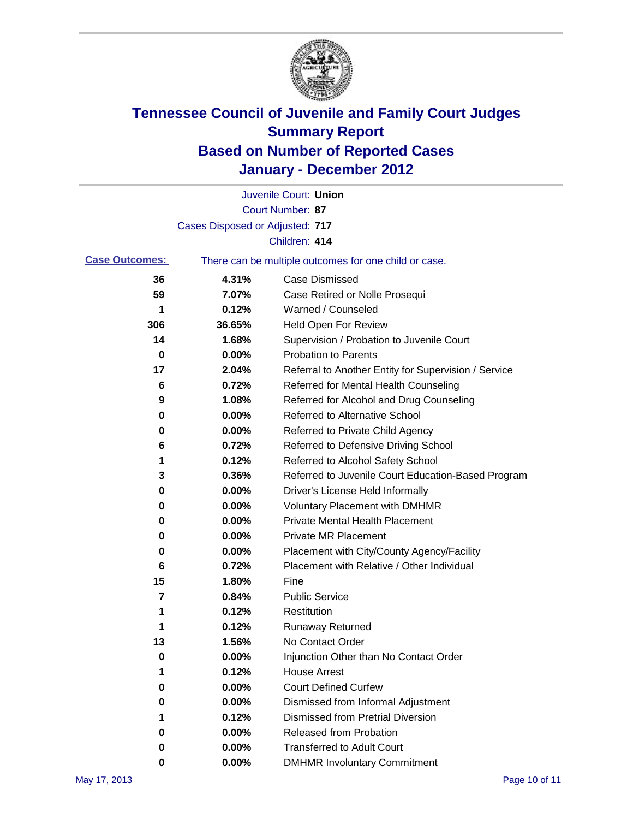

|                       |                                 | Juvenile Court: Union                                 |
|-----------------------|---------------------------------|-------------------------------------------------------|
|                       |                                 | Court Number: 87                                      |
|                       | Cases Disposed or Adjusted: 717 |                                                       |
|                       |                                 | Children: 414                                         |
| <b>Case Outcomes:</b> |                                 | There can be multiple outcomes for one child or case. |
| 36                    | 4.31%                           | <b>Case Dismissed</b>                                 |
| 59                    | 7.07%                           | Case Retired or Nolle Prosequi                        |
| 1                     | 0.12%                           | Warned / Counseled                                    |
| 306                   | 36.65%                          | Held Open For Review                                  |
| 14                    | 1.68%                           | Supervision / Probation to Juvenile Court             |
| 0                     | 0.00%                           | <b>Probation to Parents</b>                           |
| 17                    | 2.04%                           | Referral to Another Entity for Supervision / Service  |
| 6                     | 0.72%                           | Referred for Mental Health Counseling                 |
| 9                     | 1.08%                           | Referred for Alcohol and Drug Counseling              |
| 0                     | 0.00%                           | <b>Referred to Alternative School</b>                 |
| 0                     | 0.00%                           | Referred to Private Child Agency                      |
| 6                     | 0.72%                           | Referred to Defensive Driving School                  |
| 1                     | 0.12%                           | Referred to Alcohol Safety School                     |
| 3                     | 0.36%                           | Referred to Juvenile Court Education-Based Program    |
| 0                     | 0.00%                           | Driver's License Held Informally                      |
| 0                     | 0.00%                           | <b>Voluntary Placement with DMHMR</b>                 |
| 0                     | 0.00%                           | <b>Private Mental Health Placement</b>                |
| 0                     | 0.00%                           | <b>Private MR Placement</b>                           |
| 0                     | 0.00%                           | Placement with City/County Agency/Facility            |
| 6                     | 0.72%                           | Placement with Relative / Other Individual            |
| 15                    | 1.80%                           | Fine                                                  |
| 7                     | 0.84%                           | <b>Public Service</b>                                 |
| 1                     | 0.12%                           | Restitution                                           |
| 1                     | 0.12%                           | <b>Runaway Returned</b>                               |
| 13                    | 1.56%                           | No Contact Order                                      |
| 0                     | 0.00%                           | Injunction Other than No Contact Order                |
|                       | 0.12%                           | <b>House Arrest</b>                                   |
| 0                     | 0.00%                           | <b>Court Defined Curfew</b>                           |
| 0                     | 0.00%                           | Dismissed from Informal Adjustment                    |
| 1                     | 0.12%                           | <b>Dismissed from Pretrial Diversion</b>              |
| 0                     | 0.00%                           | Released from Probation                               |
| 0                     | 0.00%                           | <b>Transferred to Adult Court</b>                     |
| 0                     | $0.00\%$                        | <b>DMHMR Involuntary Commitment</b>                   |